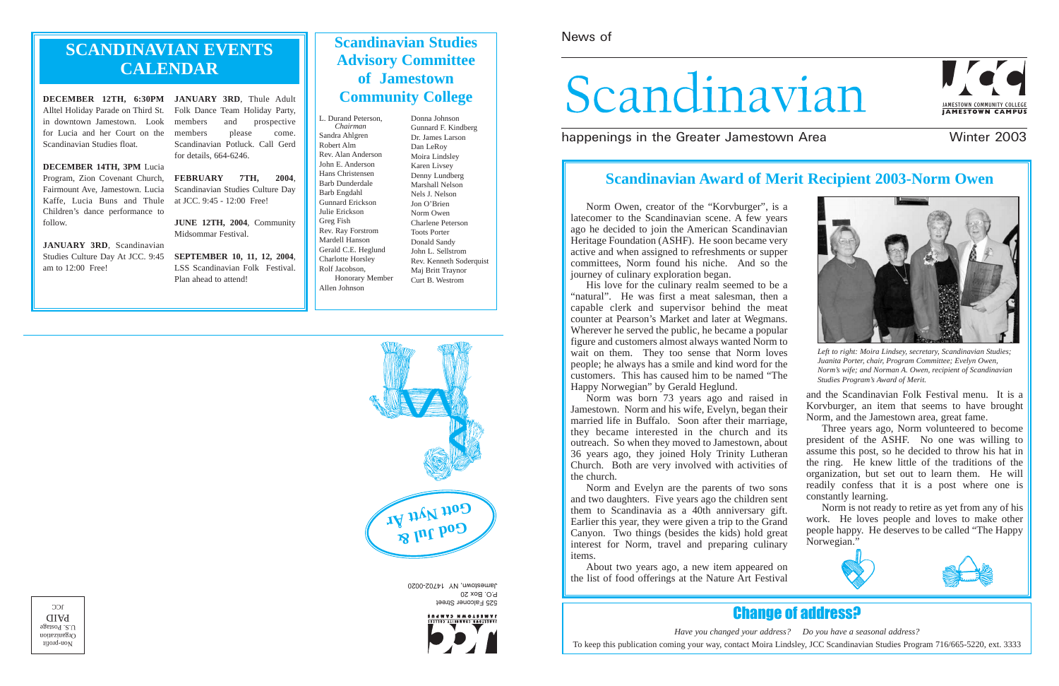Norm Owen, creator of the "Korvburger", is a latecomer to the Scandinavian scene. A few years ago he decided to join the American Scandinavian Heritage Foundation (ASHF). He soon became very active and when assigned to refreshments or supper committees, Norm found his niche. And so the journey of culinary exploration began.

His love for the culinary realm seemed to be a "natural". He was first a meat salesman, then a capable clerk and supervisor behind the meat counter at Pearson's Market and later at Wegmans. Wherever he served the public, he became a popular figure and customers almost always wanted Norm to wait on them. They too sense that Norm loves people; he always has a smile and kind word for the customers. This has caused him to be named "The Happy Norwegian" by Gerald Heglund.

525 Falconer Street P.O. Box 20 Jamestown, NY 14702-0020



Norm was born 73 years ago and raised in Jamestown. Norm and his wife, Evelyn, began their married life in Buffalo. Soon after their marriage, they became interested in the church and its outreach. So when they moved to Jamestown, about 36 years ago, they joined Holy Trinity Lutheran Church. Both are very involved with activities of the church. Norm and Evelyn are the parents of two sons and the Scandinavian Folk Festival menu. It is a Korvburger, an item that seems to have brought Norm, and the Jamestown area, great fame. Three years ago, Norm volunteered to become president of the ASHF. No one was willing to assume this post, so he decided to throw his hat in the ring. He knew little of the traditions of the organization, but set out to learn them. He will readily confess that it is a post where one is constantly learning.

About two years ago, a new item appeared on the list of food offerings at the Nature Art Festival

and two daughters. Five years ago the children sent them to Scandinavia as a 40th anniversary gift. Earlier this year, they were given a trip to the Grand Canyon. Two things (besides the kids) hold great interest for Norm, travel and preparing culinary items. Norm is not ready to retire as yet from any of his work. He loves people and loves to make other people happy. He deserves to be called "The Happy Norwegian."

# News of

# Scandinavian

happenings in the Greater Jamestown Area **Winter 2003** 



# **SCANDINAVIAN EVENTS CALENDAR**

**DECEMBER 12TH, 6:30PM JANUARY 3RD**, Thule Adult Alltel Holiday Parade on Third St. Folk Dance Team Holiday Party, in downtown Jamestown. Look for Lucia and her Court on the Scandinavian Studies float.

**DECEMBER 14TH, 3PM** Lucia Program, Zion Covenant Church, **FEBRUARY 7TH, 2004**, Fairmount Ave, Jamestown. Lucia Kaffe, Lucia Buns and Thule Children's dance performance to follow.

**JANUARY 3RD**, Scandinavian Studies Culture Day At JCC. 9:45 am to 12:00 Free!

members and prospective members please come. Scandinavian Potluck. Call Gerd for details, 664-6246.

Scandinavian Studies Culture Day at JCC. 9:45 - 12:00 Free!

**JUNE 12TH, 2004**, Community Midsommar Festival.

**SEPTEMBER 10, 11, 12, 2004**, LSS Scandinavian Folk Festival. Plan ahead to attend!





*Have you changed your address? Do you have a seasonal address?* To keep this publication coming your way, contact Moira Lindsley, JCC Scandinavian Studies Program 716/665-5220, ext. 3333

 $\upmu$ ond-uo<br/>N Organization  $U.S.$  Postage PAID  $C<sub>C</sub>$ 

# **Scandinavian Studies Advisory Committee of Jamestown Community College**

L. Durand Peterson, *Chairman* Sandra Ahlgren Robert Alm Rev. Alan Anderson John E. Anderson Hans Christensen Barb Dunderdale Barb Engdahl Gunnard Erickson Julie Erickson Greg Fish Rev. Ray Forstrom Mardell Hanson Gerald C.E. Heglund Charlotte Horsley Rolf Jacobson, Honorary Member Allen Johnson

Donna Johnson Gunnard F. Kindberg Dr. James Larson Dan LeRoy Moira Lindsley Karen Livsey Denny Lundberg Marshall Nelson Nels J. Nelson Jon O'Brien Norm Owen Charlene Peterson Toots Porter Donald Sandy John L. Sellstrom Rev. Kenneth Soderquist Maj Britt Traynor Curt B. Westrom

# **Scandinavian Award of Merit Recipient 2003-Norm Owen**



*Left to right: Moira Lindsey, secretary, Scandinavian Studies; Juanita Porter, chair, Program Committee; Evelyn Owen, Norm's wife; and Norman A. Owen, recipient of Scandinavian Studies Program's Award of Merit.*